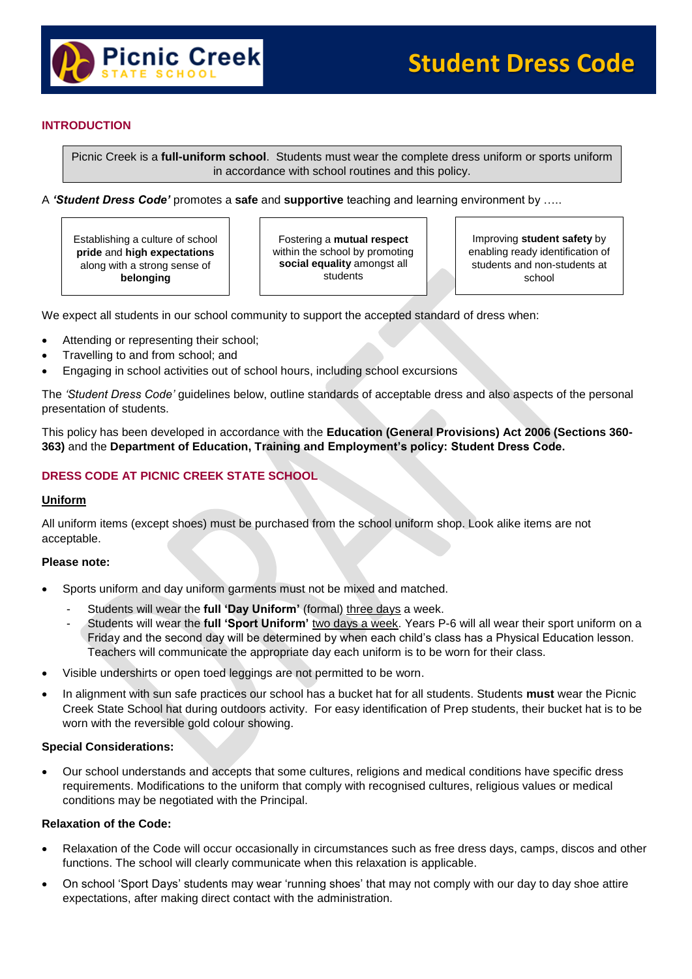

### **INTRODUCTION**

Picnic Creek is a **full-uniform school**. Students must wear the complete dress uniform or sports uniform in accordance with school routines and this policy.

A *'Student Dress Code'* promotes a **safe** and **supportive** teaching and learning environment by …..

Establishing a culture of school **pride** and **high expectations** along with a strong sense of **belonging**

Fostering a **mutual respect** within the school by promoting **social equality** amongst all students

Improving **student safety** by enabling ready identification of students and non-students at school

We expect all students in our school community to support the accepted standard of dress when:

- Attending or representing their school;
- Travelling to and from school; and
- Engaging in school activities out of school hours, including school excursions

The *'Student Dress Code'* guidelines below, outline standards of acceptable dress and also aspects of the personal presentation of students.

This policy has been developed in accordance with the **Education (General Provisions) Act 2006 (Sections 360- 363)** and the **Department of Education, Training and Employment's policy: Student Dress Code.**

### **DRESS CODE AT PICNIC CREEK STATE SCHOOL**

### **Uniform**

All uniform items (except shoes) must be purchased from the school uniform shop. Look alike items are not acceptable.

### **Please note:**

- Sports uniform and day uniform garments must not be mixed and matched.
	- Students will wear the full 'Day Uniform' (formal) three days a week.
	- Students will wear the full 'Sport Uniform' two days a week. Years P-6 will all wear their sport uniform on a Friday and the second day will be determined by when each child's class has a Physical Education lesson. Teachers will communicate the appropriate day each uniform is to be worn for their class.
- Visible undershirts or open toed leggings are not permitted to be worn.
- In alignment with sun safe practices our school has a bucket hat for all students. Students **must** wear the Picnic Creek State School hat during outdoors activity. For easy identification of Prep students, their bucket hat is to be worn with the reversible gold colour showing.

### **Special Considerations:**

 Our school understands and accepts that some cultures, religions and medical conditions have specific dress requirements. Modifications to the uniform that comply with recognised cultures, religious values or medical conditions may be negotiated with the Principal.

### **Relaxation of the Code:**

- Relaxation of the Code will occur occasionally in circumstances such as free dress days, camps, discos and other functions. The school will clearly communicate when this relaxation is applicable.
- On school 'Sport Days' students may wear 'running shoes' that may not comply with our day to day shoe attire expectations, after making direct contact with the administration.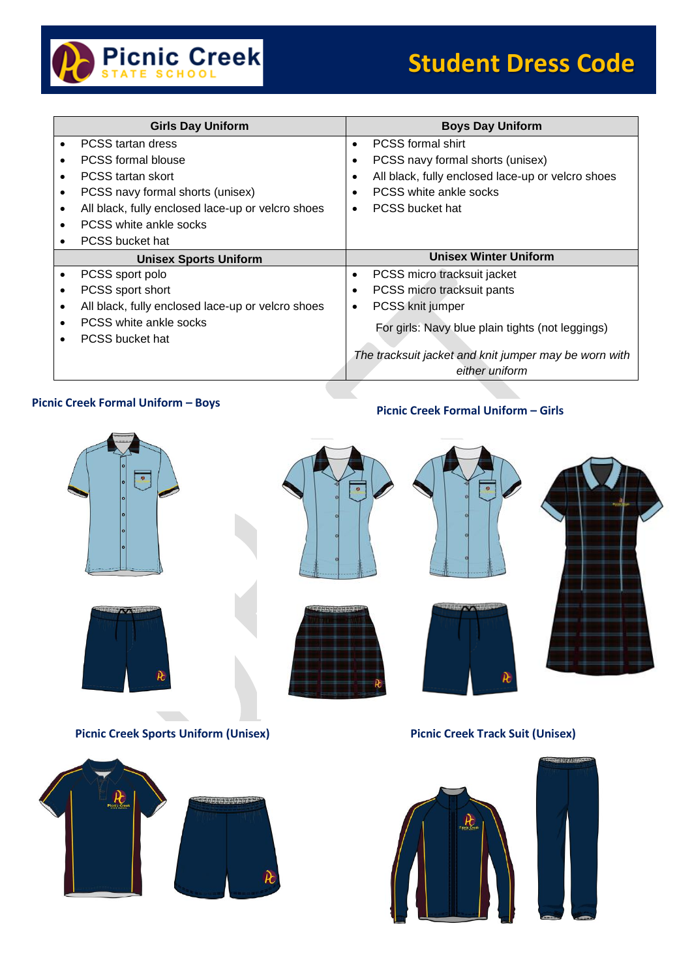

| <b>Girls Day Uniform</b>                          | <b>Boys Day Uniform</b>                           |
|---------------------------------------------------|---------------------------------------------------|
| PCSS tartan dress                                 | <b>PCSS formal shirt</b>                          |
| <b>PCSS formal blouse</b>                         | PCSS navy formal shorts (unisex)                  |
| <b>PCSS</b> tartan skort                          | All black, fully enclosed lace-up or velcro shoes |
| PCSS navy formal shorts (unisex)                  | PCSS white ankle socks                            |
| All black, fully enclosed lace-up or velcro shoes | <b>PCSS bucket hat</b>                            |
| PCSS white ankle socks                            |                                                   |
| PCSS bucket hat                                   |                                                   |
|                                                   |                                                   |
| <b>Unisex Sports Uniform</b>                      | <b>Unisex Winter Uniform</b>                      |
| PCSS sport polo                                   | PCSS micro tracksuit jacket<br>$\bullet$          |
| PCSS sport short                                  | PCSS micro tracksuit pants                        |
| All black, fully enclosed lace-up or velcro shoes | PCSS knit jumper<br>٠                             |
| PCSS white ankle socks                            |                                                   |
| PCSS bucket hat                                   | For girls: Navy blue plain tights (not leggings)  |

## **Picnic Creek Formal Uniform – Boys Picnic Creek Formal Uniform – Girls**





**Picnic Creek Sports Uniform (Unisex)**





### **Picnic Creek Track Suit (Unisex)**

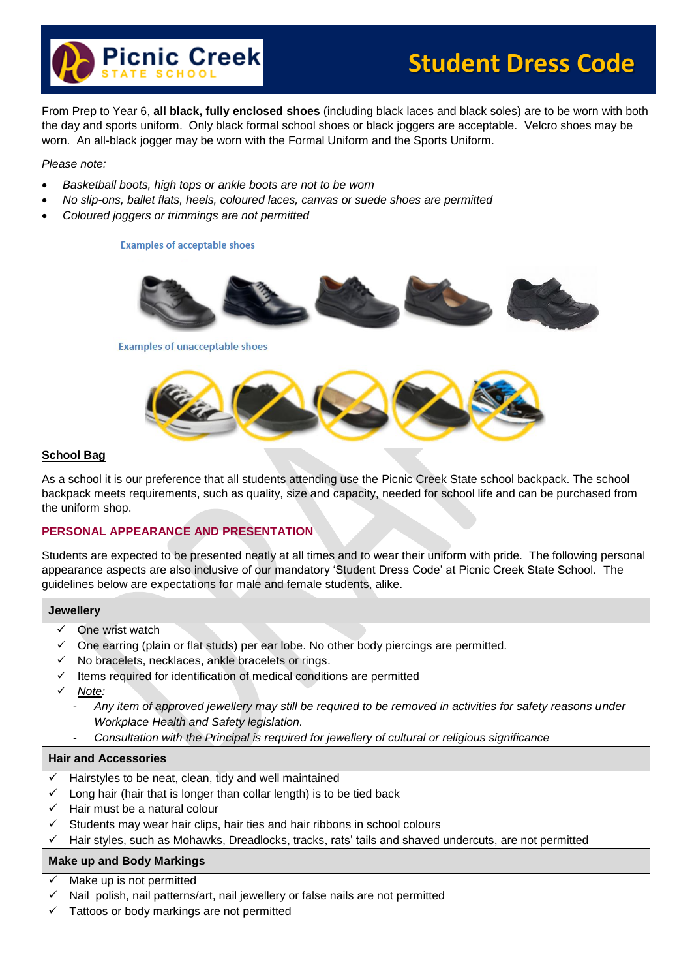

# **Student Dress Code**

From Prep to Year 6, **all black, fully enclosed shoes** (including black laces and black soles) are to be worn with both the day and sports uniform. Only black formal school shoes or black joggers are acceptable. Velcro shoes may be worn. An all-black jogger may be worn with the Formal Uniform and the Sports Uniform.

*Please note:*

- *Basketball boots, high tops or ankle boots are not to be worn*
- *No slip-ons, ballet flats, heels, coloured laces, canvas or suede shoes are permitted*
- *Coloured joggers or trimmings are not permitted*

**Examples of acceptable shoes** 





### **School Bag**

As a school it is our preference that all students attending use the Picnic Creek State school backpack. The school backpack meets requirements, such as quality, size and capacity, needed for school life and can be purchased from the uniform shop.

### **PERSONAL APPEARANCE AND PRESENTATION**

Students are expected to be presented neatly at all times and to wear their uniform with pride. The following personal appearance aspects are also inclusive of our mandatory 'Student Dress Code' at Picnic Creek State School. The guidelines below are expectations for male and female students, alike.

### **Jewellery**

- One wrist watch
- One earring (plain or flat studs) per ear lobe. No other body piercings are permitted.
- $\checkmark$  No bracelets, necklaces, ankle bracelets or rings.
- $\checkmark$  Items required for identification of medical conditions are permitted
- *Note:* 
	- *Any item of approved jewellery may still be required to be removed in activities for safety reasons under Workplace Health and Safety legislation.*
	- *Consultation with the Principal is required for jewellery of cultural or religious significance*

### **Hair and Accessories**

- Hairstyles to be neat, clean, tidy and well maintained
- Long hair (hair that is longer than collar length) is to be tied back
- $\checkmark$  Hair must be a natural colour
- $\checkmark$  Students may wear hair clips, hair ties and hair ribbons in school colours
- $\checkmark$  Hair styles, such as Mohawks, Dreadlocks, tracks, rats' tails and shaved undercuts, are not permitted

### **Make up and Body Markings**

- Make up is not permitted
- Nail polish, nail patterns/art, nail jewellery or false nails are not permitted
- Tattoos or body markings are not permitted